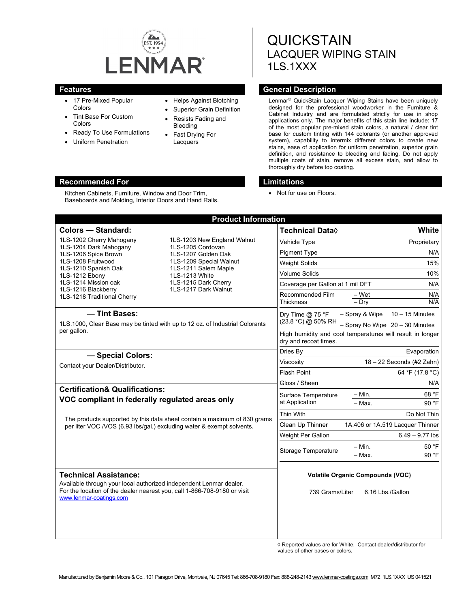

- 17 Pre-Mixed Popular Colors
- Tint Base For Custom Colors
- Ready To Use Formulations

Kitchen Cabinets, Furniture, Window and Door Trim, Baseboards and Molding, Interior Doors and Hand Rails.

Uniform Penetration

#### • Helps Against Blotching

- Superior Grain Definition
- Resists Fading and Bleeding
- Fast Drying For **Lacquers**

# **QUICKSTAIN** LACQUER WIPING STAIN 1LS.1XXX

# **Features General Description Ceneral Description**

Lenmar® QuickStain Lacquer Wiping Stains have been uniquely designed for the professional woodworker in the Furniture & Cabinet Industry and are formulated strictly for use in shop applications only. The major benefits of this stain line include: 17 of the most popular pre-mixed stain colors, a natural / clear tint base for custom tinting with 144 colorants (or another approved system), capability to intermix different colors to create new stains, ease of application for uniform penetration, superior grain definition, and resistance to bleeding and fading. Do not apply multiple coats of stain, remove all excess stain, and allow to thoroughly dry before top coating.

#### **Recommended For Limitations**

• Not for use on Floors.

|                                                                                                                                                                                                                          | <b>Product Information</b>                                                                                                                                                                   |                                                                                    |                                  |                                     |
|--------------------------------------------------------------------------------------------------------------------------------------------------------------------------------------------------------------------------|----------------------------------------------------------------------------------------------------------------------------------------------------------------------------------------------|------------------------------------------------------------------------------------|----------------------------------|-------------------------------------|
| <b>Colors - Standard:</b>                                                                                                                                                                                                |                                                                                                                                                                                              | Technical Data <sup>0</sup>                                                        |                                  | White                               |
| 1LS-1202 Cherry Mahogany<br>1LS-1204 Dark Mahogany<br>1LS-1206 Spice Brown<br>1LS-1208 Fruitwood<br>1LS-1210 Spanish Oak<br>1LS-1212 Ebony<br>1LS-1214 Mission oak<br>1LS-1216 Blackberry<br>1LS-1218 Traditional Cherry | 1LS-1203 New England Walnut<br>1LS-1205 Cordovan<br>1LS-1207 Golden Oak<br>1LS-1209 Special Walnut<br>1LS-1211 Salem Maple<br>1LS-1213 White<br>1LS-1215 Dark Cherry<br>1LS-1217 Dark Walnut | Vehicle Type                                                                       |                                  | Proprietary                         |
|                                                                                                                                                                                                                          |                                                                                                                                                                                              | <b>Pigment Type</b>                                                                |                                  | N/A                                 |
|                                                                                                                                                                                                                          |                                                                                                                                                                                              | <b>Weight Solids</b>                                                               |                                  | 15%                                 |
|                                                                                                                                                                                                                          |                                                                                                                                                                                              | <b>Volume Solids</b>                                                               |                                  | 10%                                 |
|                                                                                                                                                                                                                          |                                                                                                                                                                                              | Coverage per Gallon at 1 mil DFT                                                   |                                  | N/A                                 |
|                                                                                                                                                                                                                          |                                                                                                                                                                                              | Recommended Film<br><b>Thickness</b>                                               | – Wet<br>$-$ Drv                 | N/A<br>N/A                          |
| - Tint Bases:<br>1LS.1000, Clear Base may be tinted with up to 12 oz. of Industrial Colorants                                                                                                                            |                                                                                                                                                                                              | Dry Time $@$ 75 °F<br>(23.8 °C) @ 50% RH                                           | - Spray & Wipe                   | $10 - 15$ Minutes                   |
|                                                                                                                                                                                                                          |                                                                                                                                                                                              |                                                                                    |                                  | $-$ Spray No Wipe $20 - 30$ Minutes |
| per gallon.                                                                                                                                                                                                              |                                                                                                                                                                                              | High humidity and cool temperatures will result in longer<br>dry and recoat times. |                                  |                                     |
| - Special Colors:<br>Contact your Dealer/Distributor.                                                                                                                                                                    |                                                                                                                                                                                              | Dries By                                                                           | Evaporation                      |                                     |
|                                                                                                                                                                                                                          |                                                                                                                                                                                              | Viscosity                                                                          | 18 - 22 Seconds (#2 Zahn)        |                                     |
|                                                                                                                                                                                                                          |                                                                                                                                                                                              | Flash Point                                                                        |                                  | 64 °F (17.8 °C)                     |
|                                                                                                                                                                                                                          |                                                                                                                                                                                              | Gloss / Sheen                                                                      |                                  | N/A                                 |
| <b>Certification&amp; Qualifications:</b><br>VOC compliant in federally regulated areas only                                                                                                                             |                                                                                                                                                                                              | Surface Temperature                                                                | - Min.                           | 68 °F                               |
|                                                                                                                                                                                                                          |                                                                                                                                                                                              | at Application                                                                     | $-$ Max.                         | 90 °F                               |
| The products supported by this data sheet contain a maximum of 830 grams<br>per liter VOC /VOS (6.93 lbs/gal.) excluding water & exempt solvents.                                                                        |                                                                                                                                                                                              | Thin With                                                                          |                                  | Do Not Thin                         |
|                                                                                                                                                                                                                          |                                                                                                                                                                                              | Clean Up Thinner                                                                   | 1A.406 or 1A.519 Lacquer Thinner |                                     |
|                                                                                                                                                                                                                          |                                                                                                                                                                                              | Weight Per Gallon                                                                  |                                  | $6.49 - 9.77$ lbs                   |
|                                                                                                                                                                                                                          |                                                                                                                                                                                              | <b>Storage Temperature</b>                                                         | – Min.                           | 50 °F                               |
|                                                                                                                                                                                                                          |                                                                                                                                                                                              |                                                                                    | - Max.                           | 90 °F                               |
| <b>Technical Assistance:</b><br>Available through your local authorized independent Lenmar dealer.<br>For the location of the dealer nearest you, call 1-866-708-9180 or visit<br>www.lenmar-coatings.com                |                                                                                                                                                                                              | <b>Volatile Organic Compounds (VOC)</b><br>739 Grams/Liter<br>6.16 Lbs./Gallon     |                                  |                                     |
|                                                                                                                                                                                                                          |                                                                                                                                                                                              |                                                                                    |                                  |                                     |

◊ Reported values are for White. Contact dealer/distributor for values of other bases or colors.